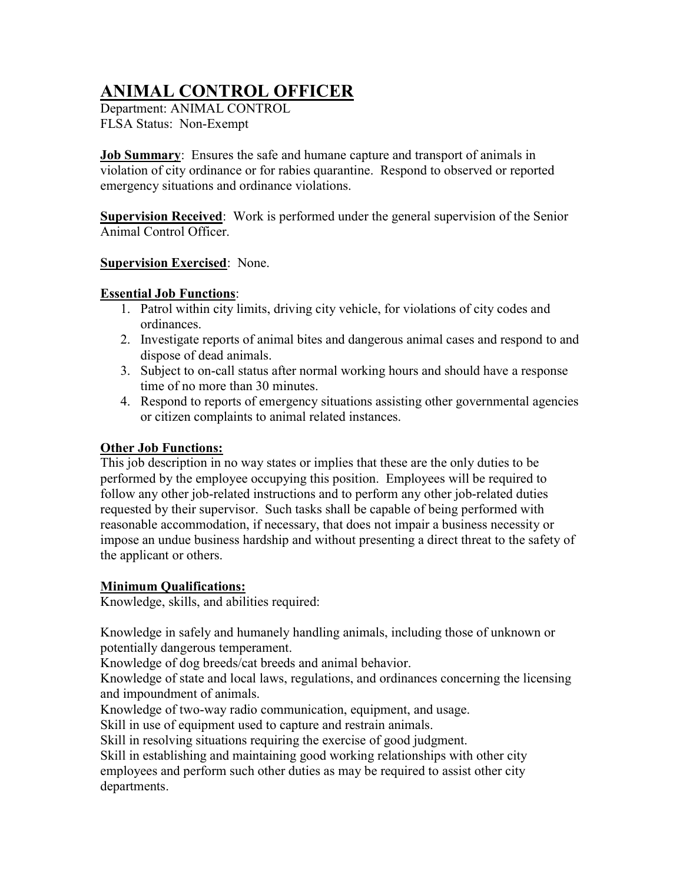# ANIMAL CONTROL OFFICER

Department: ANIMAL CONTROL FLSA Status: Non-Exempt

Job Summary: Ensures the safe and humane capture and transport of animals in violation of city ordinance or for rabies quarantine. Respond to observed or reported emergency situations and ordinance violations.

Supervision Received: Work is performed under the general supervision of the Senior Animal Control Officer.

#### **Supervision Exercised: None.**

### Essential Job Functions:

- 1. Patrol within city limits, driving city vehicle, for violations of city codes and ordinances.
- 2. Investigate reports of animal bites and dangerous animal cases and respond to and dispose of dead animals.
- 3. Subject to on-call status after normal working hours and should have a response time of no more than 30 minutes.
- 4. Respond to reports of emergency situations assisting other governmental agencies or citizen complaints to animal related instances.

## **Other Job Functions:**

This job description in no way states or implies that these are the only duties to be performed by the employee occupying this position. Employees will be required to follow any other job-related instructions and to perform any other job-related duties requested by their supervisor. Such tasks shall be capable of being performed with reasonable accommodation, if necessary, that does not impair a business necessity or impose an undue business hardship and without presenting a direct threat to the safety of the applicant or others.

## Minimum Qualifications:

Knowledge, skills, and abilities required:

Knowledge in safely and humanely handling animals, including those of unknown or potentially dangerous temperament.

Knowledge of dog breeds/cat breeds and animal behavior.

Knowledge of state and local laws, regulations, and ordinances concerning the licensing and impoundment of animals.

Knowledge of two-way radio communication, equipment, and usage.

Skill in use of equipment used to capture and restrain animals.

Skill in resolving situations requiring the exercise of good judgment.

Skill in establishing and maintaining good working relationships with other city employees and perform such other duties as may be required to assist other city departments.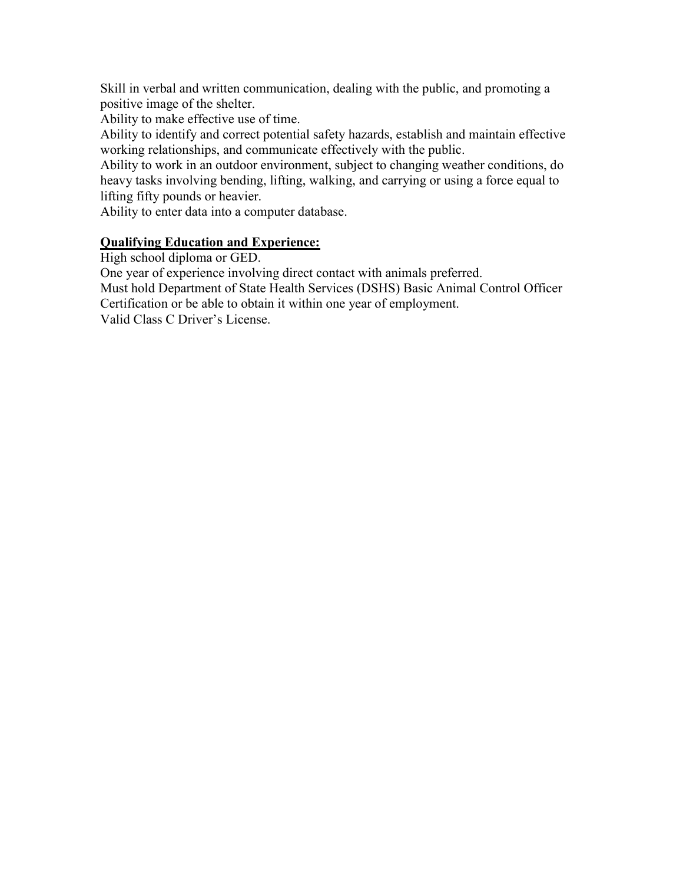Skill in verbal and written communication, dealing with the public, and promoting a positive image of the shelter.

Ability to make effective use of time.

Ability to identify and correct potential safety hazards, establish and maintain effective working relationships, and communicate effectively with the public.

Ability to work in an outdoor environment, subject to changing weather conditions, do heavy tasks involving bending, lifting, walking, and carrying or using a force equal to lifting fifty pounds or heavier.

Ability to enter data into a computer database.

#### Qualifying Education and Experience:

High school diploma or GED.

One year of experience involving direct contact with animals preferred.

Must hold Department of State Health Services (DSHS) Basic Animal Control Officer Certification or be able to obtain it within one year of employment.

Valid Class C Driver's License.